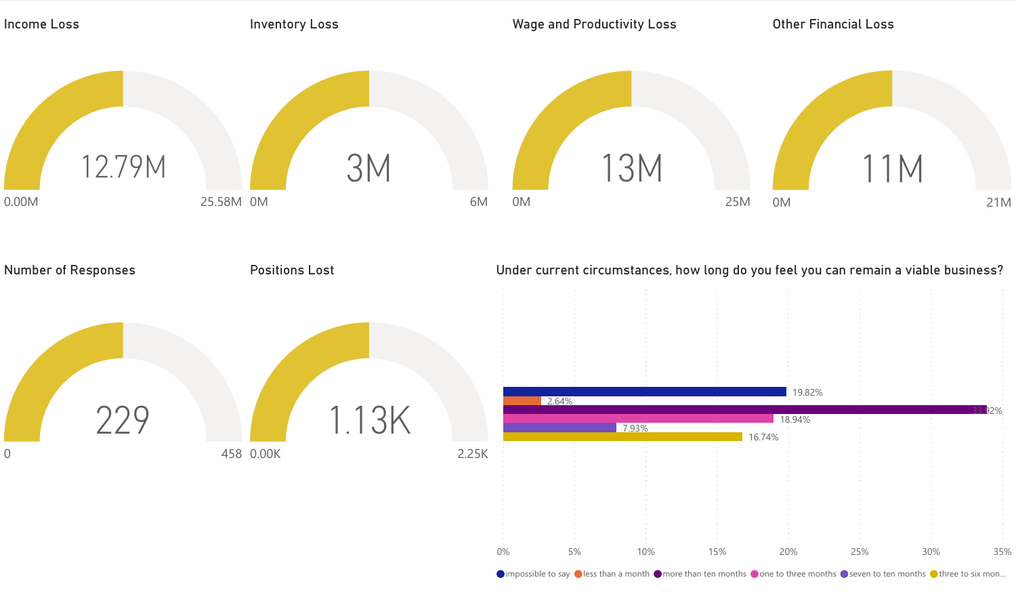

 $\bigcirc$  impossible to say  $\bigcirc$  less than a month  $\bigcirc$  more than ten months  $\bigcirc$  one to three months  $\bigcirc$  seven to ten months  $\bigcirc$  three to six mon...